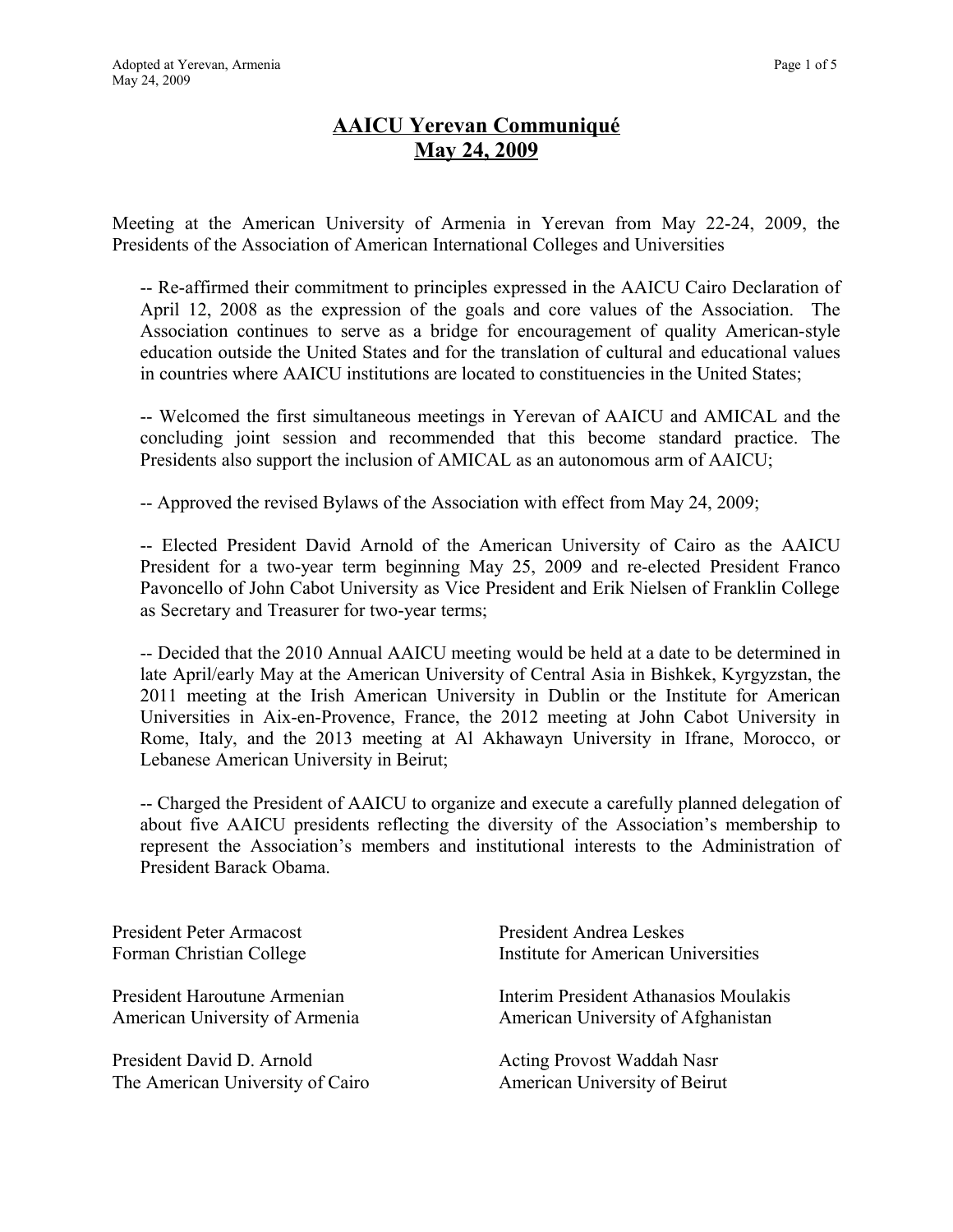# **AAICU Yerevan Communiqué May 24, 2009**

Meeting at the American University of Armenia in Yerevan from May 22-24, 2009, the Presidents of the Association of American International Colleges and Universities

-- Re-affirmed their commitment to principles expressed in the AAICU Cairo Declaration of April 12, 2008 as the expression of the goals and core values of the Association. The Association continues to serve as a bridge for encouragement of quality American-style education outside the United States and for the translation of cultural and educational values in countries where AAICU institutions are located to constituencies in the United States;

-- Welcomed the first simultaneous meetings in Yerevan of AAICU and AMICAL and the concluding joint session and recommended that this become standard practice. The Presidents also support the inclusion of AMICAL as an autonomous arm of AAICU;

-- Approved the revised Bylaws of the Association with effect from May 24, 2009;

-- Elected President David Arnold of the American University of Cairo as the AAICU President for a two-year term beginning May 25, 2009 and re-elected President Franco Pavoncello of John Cabot University as Vice President and Erik Nielsen of Franklin College as Secretary and Treasurer for two-year terms;

-- Decided that the 2010 Annual AAICU meeting would be held at a date to be determined in late April/early May at the American University of Central Asia in Bishkek, Kyrgyzstan, the 2011 meeting at the Irish American University in Dublin or the Institute for American Universities in Aix-en-Provence, France, the 2012 meeting at John Cabot University in Rome, Italy, and the 2013 meeting at Al Akhawayn University in Ifrane, Morocco, or Lebanese American University in Beirut;

-- Charged the President of AAICU to organize and execute a carefully planned delegation of about five AAICU presidents reflecting the diversity of the Association's membership to represent the Association's members and institutional interests to the Administration of President Barack Obama.

President Peter Armacost Forman Christian College

President Haroutune Armenian American University of Armenia

President David D. Arnold The American University of Cairo President Andrea Leskes Institute for American Universities

Interim President Athanasios Moulakis American University of Afghanistan

Acting Provost Waddah Nasr American University of Beirut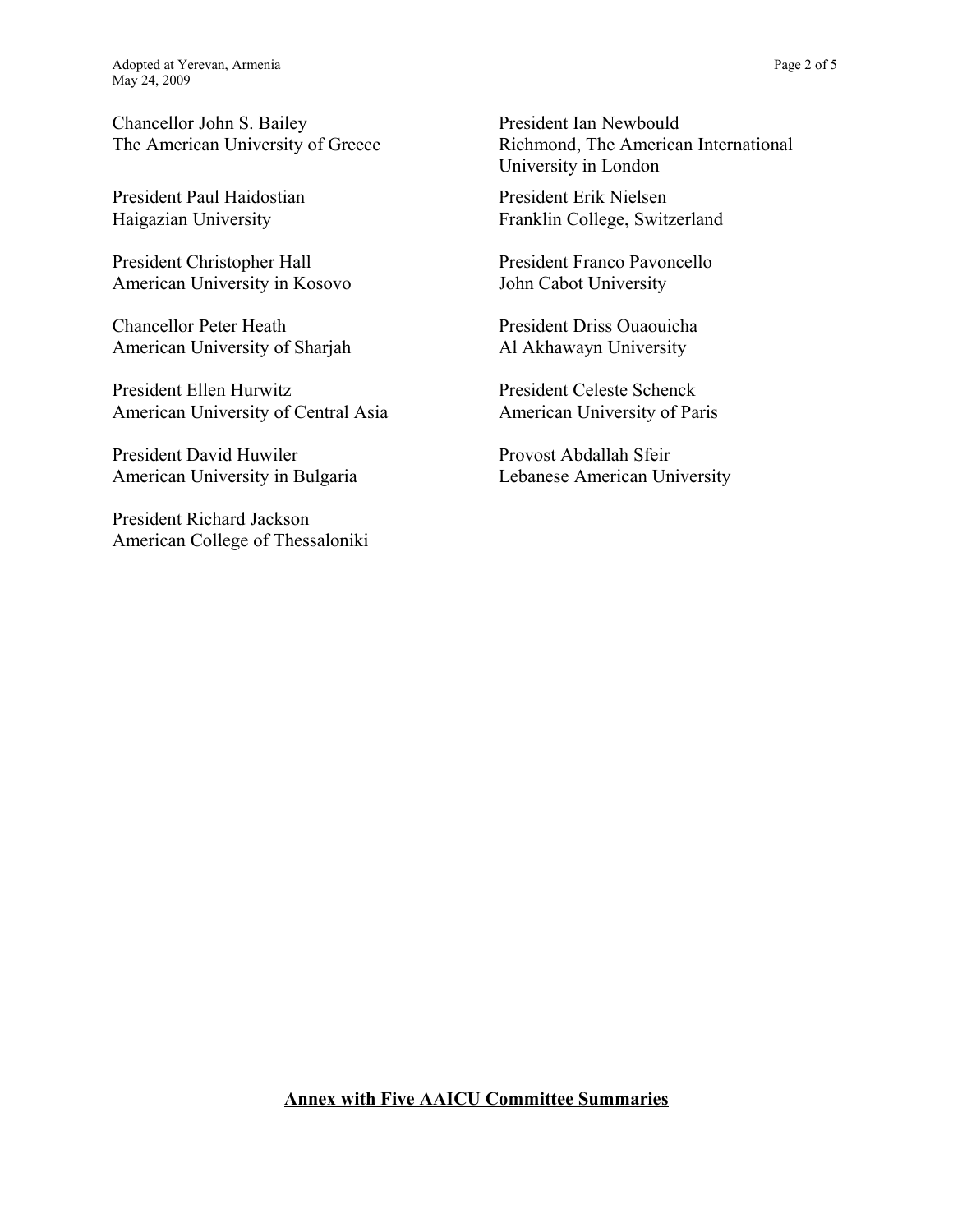Chancellor John S. Bailey The American University of Greece

President Paul Haidostian Haigazian University

President Christopher Hall American University in Kosovo

Chancellor Peter Heath American University of Sharjah

President Ellen Hurwitz American University of Central Asia

President David Huwiler American University in Bulgaria

President Richard Jackson American College of Thessaloniki President Ian Newbould Richmond, The American International University in London

President Erik Nielsen Franklin College, Switzerland

President Franco Pavoncello John Cabot University

President Driss Ouaouicha Al Akhawayn University

President Celeste Schenck American University of Paris

Provost Abdallah Sfeir Lebanese American University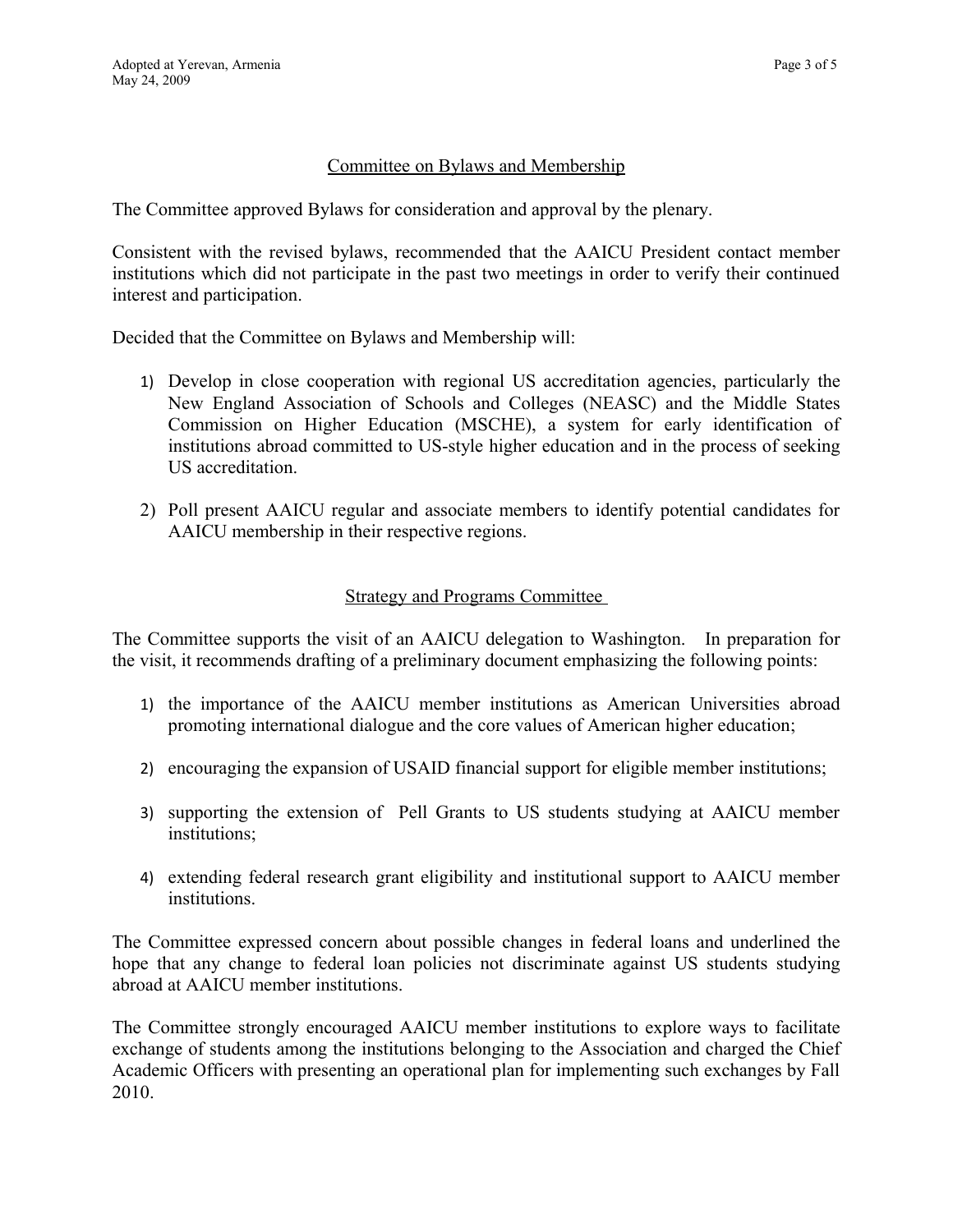#### Committee on Bylaws and Membership

The Committee approved Bylaws for consideration and approval by the plenary.

Consistent with the revised bylaws, recommended that the AAICU President contact member institutions which did not participate in the past two meetings in order to verify their continued interest and participation.

Decided that the Committee on Bylaws and Membership will:

- 1) Develop in close cooperation with regional US accreditation agencies, particularly the New England Association of Schools and Colleges (NEASC) and the Middle States Commission on Higher Education (MSCHE), a system for early identification of institutions abroad committed to US-style higher education and in the process of seeking US accreditation.
- 2) Poll present AAICU regular and associate members to identify potential candidates for AAICU membership in their respective regions.

#### Strategy and Programs Committee

The Committee supports the visit of an AAICU delegation to Washington. In preparation for the visit, it recommends drafting of a preliminary document emphasizing the following points:

- 1) the importance of the AAICU member institutions as American Universities abroad promoting international dialogue and the core values of American higher education;
- 2) encouraging the expansion of USAID financial support for eligible member institutions;
- 3) supporting the extension of Pell Grants to US students studying at AAICU member institutions;
- 4) extending federal research grant eligibility and institutional support to AAICU member institutions.

The Committee expressed concern about possible changes in federal loans and underlined the hope that any change to federal loan policies not discriminate against US students studying abroad at AAICU member institutions.

The Committee strongly encouraged AAICU member institutions to explore ways to facilitate exchange of students among the institutions belonging to the Association and charged the Chief Academic Officers with presenting an operational plan for implementing such exchanges by Fall 2010.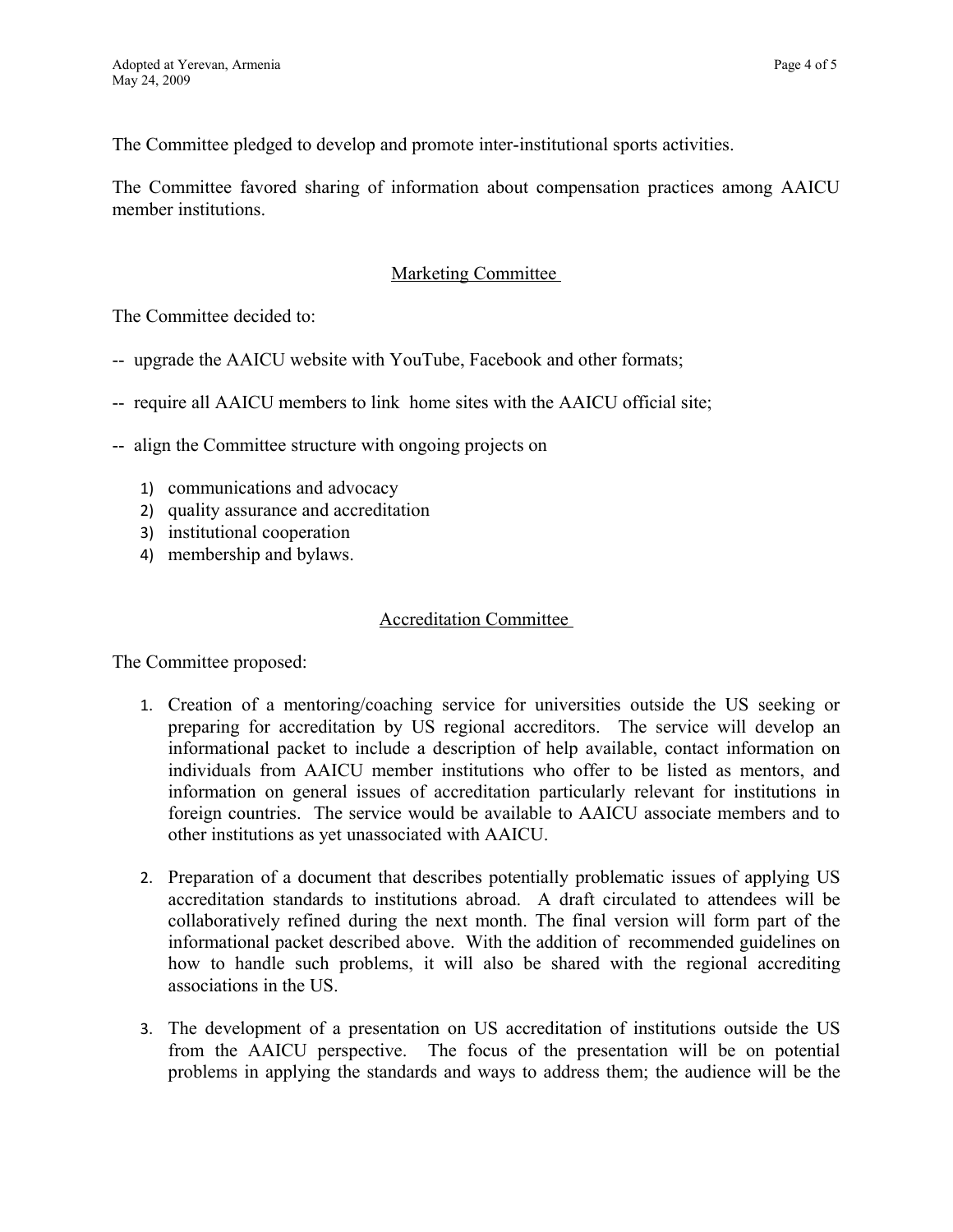The Committee pledged to develop and promote inter-institutional sports activities.

The Committee favored sharing of information about compensation practices among AAICU member institutions.

## Marketing Committee

The Committee decided to:

- -- upgrade the AAICU website with YouTube, Facebook and other formats;
- -- require all AAICU members to link home sites with the AAICU official site;
- -- align the Committee structure with ongoing projects on
	- 1) communications and advocacy
	- 2) quality assurance and accreditation
	- 3) institutional cooperation
	- 4) membership and bylaws.

#### Accreditation Committee

The Committee proposed:

- 1. Creation of a mentoring/coaching service for universities outside the US seeking or preparing for accreditation by US regional accreditors. The service will develop an informational packet to include a description of help available, contact information on individuals from AAICU member institutions who offer to be listed as mentors, and information on general issues of accreditation particularly relevant for institutions in foreign countries. The service would be available to AAICU associate members and to other institutions as yet unassociated with AAICU.
- 2. Preparation of a document that describes potentially problematic issues of applying US accreditation standards to institutions abroad. A draft circulated to attendees will be collaboratively refined during the next month. The final version will form part of the informational packet described above. With the addition of recommended guidelines on how to handle such problems, it will also be shared with the regional accrediting associations in the US.
- 3. The development of a presentation on US accreditation of institutions outside the US from the AAICU perspective. The focus of the presentation will be on potential problems in applying the standards and ways to address them; the audience will be the